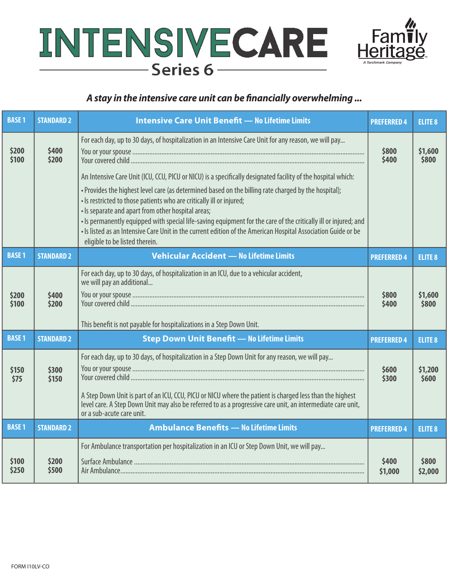



# *A stay in the intensive care unit can be financially overwhelming ...*

| <b>BASE1</b>   | <b>STANDARD 2</b> | <b>Intensive Care Unit Benefit - No Lifetime Limits</b>                                                                                                                                                                                                                                                                                                                                                                                                                                                                                                                                                                                                                                                                           | <b>PREFERRED 4</b> | <b>ELITE 8</b>   |
|----------------|-------------------|-----------------------------------------------------------------------------------------------------------------------------------------------------------------------------------------------------------------------------------------------------------------------------------------------------------------------------------------------------------------------------------------------------------------------------------------------------------------------------------------------------------------------------------------------------------------------------------------------------------------------------------------------------------------------------------------------------------------------------------|--------------------|------------------|
| \$200<br>\$100 | \$400<br>\$200    | For each day, up to 30 days, of hospitalization in an Intensive Care Unit for any reason, we will pay<br>An Intensive Care Unit (ICU, CCU, PICU or NICU) is a specifically designated facility of the hospital which:<br>. Provides the highest level care (as determined based on the billing rate charged by the hospital);<br>. Is restricted to those patients who are critically ill or injured;<br>• Is separate and apart from other hospital areas;<br>. Is permanently equipped with special life-saving equipment for the care of the critically ill or injured; and<br>. Is listed as an Intensive Care Unit in the current edition of the American Hospital Association Guide or be<br>eligible to be listed therein. | \$800<br>\$400     | \$1,600<br>\$800 |
| <b>BASE1</b>   | <b>STANDARD 2</b> | <b>Vehicular Accident - No Lifetime Limits</b>                                                                                                                                                                                                                                                                                                                                                                                                                                                                                                                                                                                                                                                                                    | <b>PREFERRED 4</b> | <b>ELITE 8</b>   |
| \$200<br>\$100 | \$400<br>\$200    | For each day, up to 30 days, of hospitalization in an ICU, due to a vehicular accident,<br>we will pay an additional<br>This benefit is not payable for hospitalizations in a Step Down Unit.                                                                                                                                                                                                                                                                                                                                                                                                                                                                                                                                     | \$800<br>\$400     | \$1,600<br>\$800 |
| <b>BASE 1</b>  | <b>STANDARD 2</b> | <b>Step Down Unit Benefit - No Lifetime Limits</b>                                                                                                                                                                                                                                                                                                                                                                                                                                                                                                                                                                                                                                                                                | <b>PREFERRED 4</b> | <b>ELITE 8</b>   |
| \$150<br>\$75  | \$300<br>\$150    | For each day, up to 30 days, of hospitalization in a Step Down Unit for any reason, we will pay<br>A Step Down Unit is part of an ICU, CCU, PICU or NICU where the patient is charged less than the highest<br>level care. A Step Down Unit may also be referred to as a progressive care unit, an intermediate care unit,<br>or a sub-acute care unit.                                                                                                                                                                                                                                                                                                                                                                           | \$600<br>\$300     | \$1,200<br>\$600 |
| <b>BASE1</b>   | <b>STANDARD 2</b> | <b>Ambulance Benefits - No Lifetime Limits</b>                                                                                                                                                                                                                                                                                                                                                                                                                                                                                                                                                                                                                                                                                    | <b>PREFERRED 4</b> | <b>ELITE 8</b>   |
| \$100<br>\$250 | \$200<br>\$500    | For Ambulance transportation per hospitalization in an ICU or Step Down Unit, we will pay                                                                                                                                                                                                                                                                                                                                                                                                                                                                                                                                                                                                                                         | \$400<br>\$1,000   | \$800<br>\$2,000 |